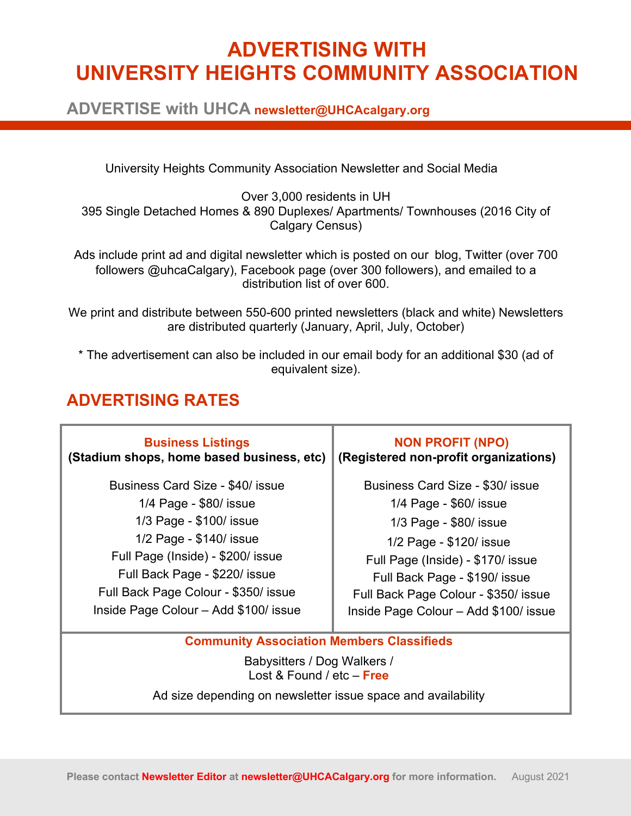# **ADVERTISING WITH UNIVERSITY HEIGHTS COMMUNITY ASSOCIATION**

**ADVERTISE with UHCA newsletter@UHCAcalgary.org**

University Heights Community Association Newsletter and Social Media

Over 3,000 residents in UH 395 Single Detached Homes & 890 Duplexes/ Apartments/ Townhouses (2016 City of Calgary Census)

Ads include print ad and digital newsletter which is posted on our blog, Twitter (over 700 followers @uhcaCalgary), Facebook page (over 300 followers), and emailed to a distribution list of over 600.

We print and distribute between 550-600 printed newsletters (black and white) Newsletters are distributed quarterly (January, April, July, October)

\* The advertisement can also be included in our email body for an additional \$30 (ad of equivalent size).

#### **ADVERTISING RATES**

| <b>Business Listings</b>                                                        | <b>NON PROFIT (NPO)</b>               |  |
|---------------------------------------------------------------------------------|---------------------------------------|--|
| (Stadium shops, home based business, etc)                                       | (Registered non-profit organizations) |  |
| Business Card Size - \$40/ issue                                                | Business Card Size - \$30/ issue      |  |
| 1/4 Page - \$80/ issue                                                          | 1/4 Page - \$60/ issue                |  |
| 1/3 Page - \$100/ issue                                                         | 1/3 Page - \$80/ issue                |  |
| 1/2 Page - \$140/ issue                                                         | 1/2 Page - \$120/ issue               |  |
| Full Page (Inside) - \$200/ issue                                               | Full Page (Inside) - \$170/ issue     |  |
| Full Back Page - \$220/ issue                                                   | Full Back Page - \$190/ issue         |  |
| Full Back Page Colour - \$350/ issue                                            | Full Back Page Colour - \$350/ issue  |  |
| Inside Page Colour - Add \$100/ issue                                           | Inside Page Colour - Add \$100/ issue |  |
| <b>Community Association Members Classifieds</b><br>Babysitters / Dog Walkers / |                                       |  |

Lost & Found / etc – **Free**

Ad size depending on newsletter issue space and availability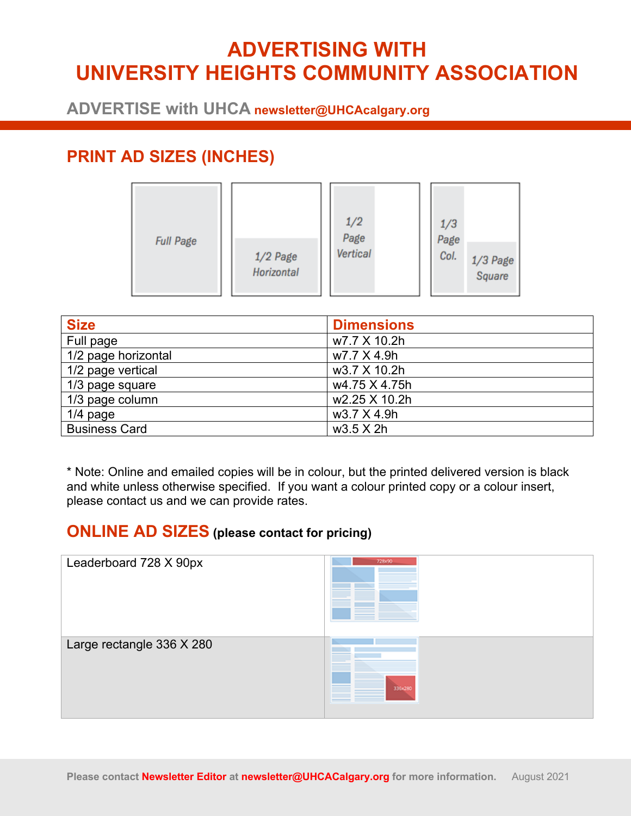# **ADVERTISING WITH UNIVERSITY HEIGHTS COMMUNITY ASSOCIATION**

**ADVERTISE with UHCA newsletter@UHCAcalgary.org**

### **PRINT AD SIZES (INCHES)**

| <b>Full Page</b><br>$1/2$ Page<br>Horizontal | 1/2<br>Page<br>Vertical | 1/3<br>Page<br>Col.<br>1/3 Page<br>Square |
|----------------------------------------------|-------------------------|-------------------------------------------|
|----------------------------------------------|-------------------------|-------------------------------------------|

| <b>Size</b>          | <b>Dimensions</b> |
|----------------------|-------------------|
| Full page            | w7.7 X 10.2h      |
| 1/2 page horizontal  | w7.7 X 4.9h       |
| 1/2 page vertical    | w3.7 X 10.2h      |
| 1/3 page square      | w4.75 X 4.75h     |
| 1/3 page column      | w2.25 X 10.2h     |
| $1/4$ page           | w3.7 X 4.9h       |
| <b>Business Card</b> | $w3.5 \times 2h$  |

\* Note: Online and emailed copies will be in colour, but the printed delivered version is black and white unless otherwise specified. If you want a colour printed copy or a colour insert, please contact us and we can provide rates.

#### **ONLINE AD SIZES (please contact for pricing)**